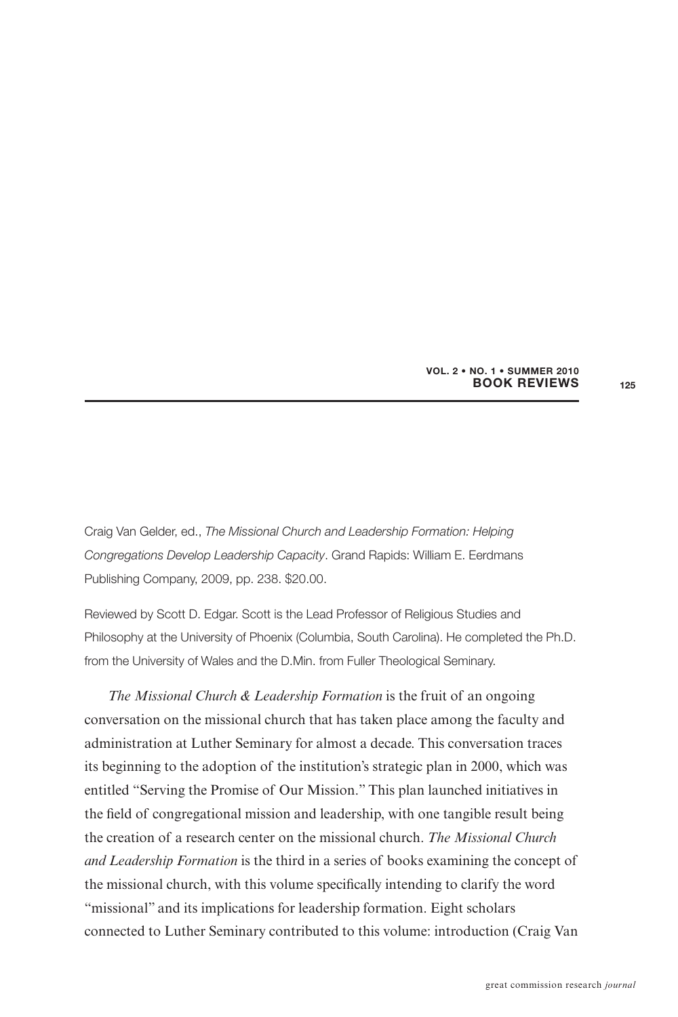## **BOOK REVIEWS VOL. 2 • NO. 1 • SUMMER 2010**

Craig Van Gelder, ed., The Missional Church and Leadership Formation: Helping Congregations Develop Leadership Capacity. Grand Rapids: William E. Eerdmans Publishing Company, 2009, pp. 238. \$20.00.

Reviewed by Scott D. Edgar. Scott is the Lead Professor of Religious Studies and Philosophy at the University of Phoenix (Columbia, South Carolina). He completed the Ph.D. from the University of Wales and the D.Min. from Fuller Theological Seminary.

*The Missional Church & Leadership Formation* is the fruit of an ongoing conversation on the missional church that has taken place among the faculty and administration at Luther Seminary for almost a decade. This conversation traces its beginning to the adoption of the institution's strategic plan in 2000, which was entitled "Serving the Promise of Our Mission." This plan launched initiatives in the field of congregational mission and leadership, with one tangible result being the creation of a research center on the missional church. *The Missional Church and Leadership Formation* is the third in a series of books examining the concept of the missional church, with this volume specifically intending to clarify the word "missional" and its implications for leadership formation. Eight scholars connected to Luther Seminary contributed to this volume: introduction (Craig Van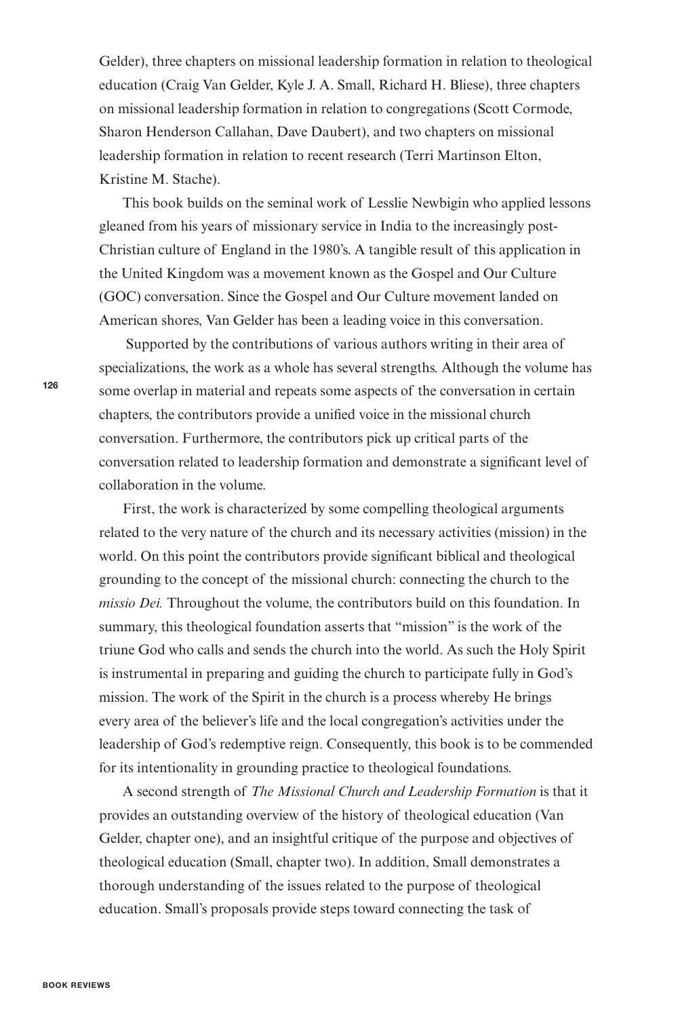Gelder), three chapters on missional leadership formation in relation to theological education (Craig Van Gelder, Kyle J. A. Small, Richard H. Bliese), three chapters on missional leadership formation in relation to congregations (Scott Cormode, Sharon Henderson Callahan, Dave Daubert), and two chapters on missional leadership formation in relation to recent research (Terri Martinson Elton, Kristine M. Stache).

This book builds on the seminal work of Lesslie Newbigin who applied lessons gleaned from his years of missionary service in India to the increasingly post-Christian culture of England in the 1980's. A tangible result of this application in the United Kingdom was a movement known as the Gospel and Our Culture (GOC) conversation. Since the Gospel and Our Culture movement landed on American shores, Van Gelder has been a leading voice in this conversation.

Supported by the contributions of various authors writing in their area of specializations, the work as a whole has several strengths. Although the volume has some overlap in material and repeats some aspects of the conversation in certain chapters, the contributors provide a unified voice in the missional church conversation. Furthermore, the contributors pick up critical parts of the conversation related to leadership formation and demonstrate a significant level of collaboration in the volume.

First, the work is characterized by some compelling theological arguments related to the very nature of the church and its necessary activities (mission) in the world. On this point the contributors provide significant biblical and theological grounding to the concept of the missional church: connecting the church to the *missio Dei.* Throughout the volume, the contributors build on this foundation. In summary, this theological foundation asserts that "mission" is the work of the triune God who calls and sends the church into the world. As such the Holy Spirit is instrumental in preparing and guiding the church to participate fully in God's mission. The work of the Spirit in the church is a process whereby He brings every area of the believer's life and the local congregation's activities under the leadership of God's redemptive reign. Consequently, this book is to be commended for its intentionality in grounding practice to theological foundations.

A second strength of *The Missional Church and Leadership Formation* is that it provides an outstanding overview of the history of theological education (Van Gelder, chapter one), and an insightful critique of the purpose and objectives of theological education (Small, chapter two). In addition, Small demonstrates a thorough understanding of the issues related to the purpose of theological education. Small's proposals provide steps toward connecting the task of